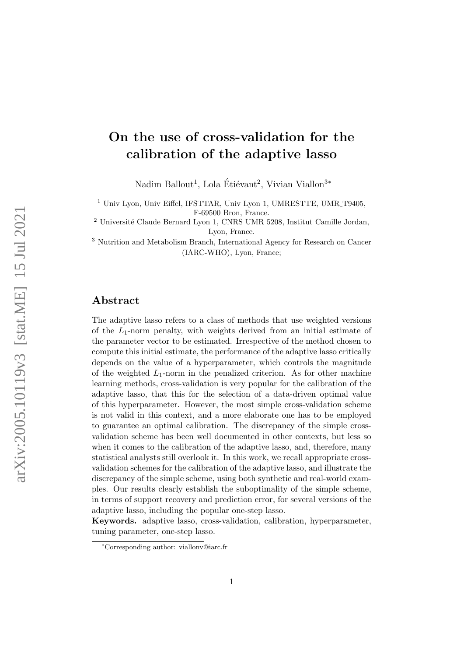# On the use of cross-validation for the calibration of the adaptive lasso

Nadim Ballout<sup>1</sup>, Lola Étiévant<sup>2</sup>, Vivian Viallon<sup>3</sup><sup>\*</sup>

<sup>1</sup> Univ Lyon, Univ Eiffel, IFSTTAR, Univ Lyon 1, UMRESTTE, UMR<sub>-T9405</sub>,

F-69500 Bron, France.

 $^2$ Université Claude Bernard Lyon 1, CNRS UMR 5208, Institut Camille Jordan, Lyon, France.

<sup>3</sup> Nutrition and Metabolism Branch, International Agency for Research on Cancer (IARC-WHO), Lyon, France;

### Abstract

The adaptive lasso refers to a class of methods that use weighted versions of the  $L_1$ -norm penalty, with weights derived from an initial estimate of the parameter vector to be estimated. Irrespective of the method chosen to compute this initial estimate, the performance of the adaptive lasso critically depends on the value of a hyperparameter, which controls the magnitude of the weighted  $L_1$ -norm in the penalized criterion. As for other machine learning methods, cross-validation is very popular for the calibration of the adaptive lasso, that this for the selection of a data-driven optimal value of this hyperparameter. However, the most simple cross-validation scheme is not valid in this context, and a more elaborate one has to be employed to guarantee an optimal calibration. The discrepancy of the simple crossvalidation scheme has been well documented in other contexts, but less so when it comes to the calibration of the adaptive lasso, and, therefore, many statistical analysts still overlook it. In this work, we recall appropriate crossvalidation schemes for the calibration of the adaptive lasso, and illustrate the discrepancy of the simple scheme, using both synthetic and real-world examples. Our results clearly establish the suboptimality of the simple scheme, in terms of support recovery and prediction error, for several versions of the adaptive lasso, including the popular one-step lasso.

Keywords. adaptive lasso, cross-validation, calibration, hyperparameter, tuning parameter, one-step lasso.

<sup>∗</sup>Corresponding author: viallonv@iarc.fr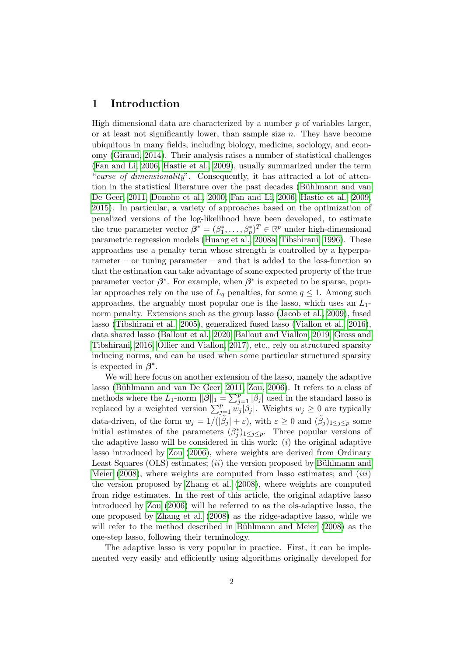### 1 Introduction

High dimensional data are characterized by a number  $p$  of variables larger, or at least not significantly lower, than sample size  $n$ . They have become ubiquitous in many fields, including biology, medicine, sociology, and economy [\(Giraud, 2014\)](#page-18-0). Their analysis raises a number of statistical challenges [\(Fan and Li, 2006,](#page-18-1) [Hastie et al., 2009\)](#page-18-2), usually summarized under the term "curse of dimensionality". Consequently, it has attracted a lot of attention in the statistical literature over the past decades (Bühlmann and van [De Geer, 2011,](#page-17-0) [Donoho et al., 2000,](#page-18-3) [Fan and Li, 2006,](#page-18-1) [Hastie et al., 2009,](#page-18-2) [2015\)](#page-18-4). In particular, a variety of approaches based on the optimization of penalized versions of the log-likelihood have been developed, to estimate the true parameter vector  $\boldsymbol{\beta}^* = (\beta_1^*, \dots, \beta_p^*)^T \in \mathbb{R}^p$  under high-dimensional parametric regression models [\(Huang et al., 2008a,](#page-19-0) [Tibshirani, 1996\)](#page-19-1). These approaches use a penalty term whose strength is controlled by a hyperparameter – or tuning parameter – and that is added to the loss-function so that the estimation can take advantage of some expected property of the true parameter vector  $\beta^*$ . For example, when  $\beta^*$  is expected to be sparse, popular approaches rely on the use of  $L_q$  penalties, for some  $q \leq 1$ . Among such approaches, the arguably most popular one is the lasso, which uses an  $L_1$ norm penalty. Extensions such as the group lasso [\(Jacob et al., 2009\)](#page-19-2), fused lasso [\(Tibshirani et al., 2005\)](#page-20-0), generalized fused lasso [\(Viallon et al., 2016\)](#page-20-1), data shared lasso [\(Ballout et al., 2020,](#page-17-1) [Ballout and Viallon, 2019,](#page-17-2) [Gross and](#page-18-5) [Tibshirani, 2016,](#page-18-5) [Ollier and Viallon, 2017\)](#page-19-3), etc., rely on structured sparsity inducing norms, and can be used when some particular structured sparsity is expected in  $\beta^*$ .

We will here focus on another extension of the lasso, namely the adaptive lasso (Bühlmann and van De Geer, 2011, [Zou, 2006\)](#page-20-2). It refers to a class of methods where the L<sub>1</sub>-norm  $\|\boldsymbol{\beta}\|_1 = \sum_{j=1}^p |\beta_j|$  used in the standard lasso is replaced by a weighted version  $\sum_{j=1}^{p} w_j |\beta_j|$ . Weights  $w_j \geq 0$  are typically data-driven, of the form  $w_j = 1/(\tilde{\beta}_j + \varepsilon)$ , with  $\varepsilon \geq 0$  and  $(\tilde{\beta}_j)_{1 \leq j \leq p}$  some initial estimates of the parameters  $(\beta_j^*)_{1 \leq j \leq p}$ . Three popular versions of the adaptive lasso will be considered in this work:  $(i)$  the original adaptive lasso introduced by [Zou](#page-20-2) [\(2006\)](#page-20-2), where weights are derived from Ordinary Least Squares  $(OLS)$  estimates;  $(ii)$  the version proposed by Bühlmann and [Meier](#page-17-3)  $(2008)$ , where weights are computed from lasso estimates; and  $(iii)$ the version proposed by [Zhang et al.](#page-20-3) [\(2008\)](#page-20-3), where weights are computed from ridge estimates. In the rest of this article, the original adaptive lasso introduced by [Zou](#page-20-2) [\(2006\)](#page-20-2) will be referred to as the ols-adaptive lasso, the one proposed by [Zhang et al.](#page-20-3) [\(2008\)](#page-20-3) as the ridge-adaptive lasso, while we will refer to the method described in Bühlmann and Meier  $(2008)$  as the one-step lasso, following their terminology.

The adaptive lasso is very popular in practice. First, it can be implemented very easily and efficiently using algorithms originally developed for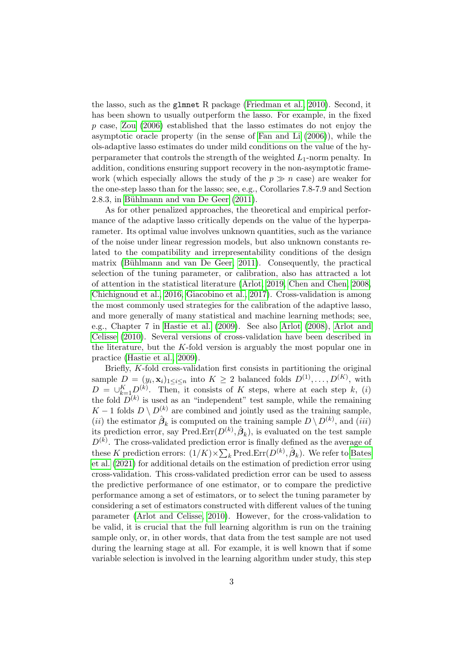the lasso, such as the glmnet R package [\(Friedman et al., 2010\)](#page-18-6). Second, it has been shown to usually outperform the lasso. For example, in the fixed  $p$  case, [Zou](#page-20-2) [\(2006\)](#page-20-2) established that the lasso estimates do not enjoy the asymptotic oracle property (in the sense of [Fan and Li](#page-18-1) [\(2006\)](#page-18-1)), while the ols-adaptive lasso estimates do under mild conditions on the value of the hyperparameter that controls the strength of the weighted  $L_1$ -norm penalty. In addition, conditions ensuring support recovery in the non-asymptotic framework (which especially allows the study of the  $p \gg n$  case) are weaker for the one-step lasso than for the lasso; see, e.g., Corollaries 7.8-7.9 and Section 2.8.3, in Bühlmann and van De Geer [\(2011\)](#page-17-0).

As for other penalized approaches, the theoretical and empirical performance of the adaptive lasso critically depends on the value of the hyperparameter. Its optimal value involves unknown quantities, such as the variance of the noise under linear regression models, but also unknown constants related to the compatibility and irrepresentability conditions of the design matrix (Bühlmann and van De Geer, 2011). Consequently, the practical selection of the tuning parameter, or calibration, also has attracted a lot of attention in the statistical literature [\(Arlot, 2019,](#page-17-4) [Chen and Chen, 2008,](#page-18-7) [Chichignoud et al., 2016,](#page-18-8) [Giacobino et al., 2017\)](#page-18-9). Cross-validation is among the most commonly used strategies for the calibration of the adaptive lasso, and more generally of many statistical and machine learning methods; see, e.g., Chapter 7 in [Hastie et al.](#page-18-2) [\(2009\)](#page-18-2). See also [Arlot](#page-17-5) [\(2008\)](#page-17-5), [Arlot and](#page-17-6) [Celisse](#page-17-6) [\(2010\)](#page-17-6). Several versions of cross-validation have been described in the literature, but the  $K$ -fold version is arguably the most popular one in practice [\(Hastie et al., 2009\)](#page-18-2).

Briefly, K-fold cross-validation first consists in partitioning the original sample  $D = (y_i, \mathbf{x}_i)_{1 \leq i \leq n}$  into  $K \geq 2$  balanced folds  $D^{(1)}, \ldots, D^{(K)}$ , with  $D = \bigcup_{k=1}^{K} D^{(k)}$ . Then, it consists of K steps, where at each step k, (i) the fold  $D^{(k)}$  is used as an "independent" test sample, while the remaining K − 1 folds  $D \setminus D^{(k)}$  are combined and jointly used as the training sample, (*ii*) the estimator  $\hat{\boldsymbol{\beta}}_k$  is computed on the training sample  $D \setminus D^{(k)}$ , and (*iii*) its prediction error, say Pred. $Err(D^{(k)}, \hat{\beta}_k)$ , is evaluated on the test sample  $D^{(k)}$ . The cross-validated prediction error is finally defined as the average of these K prediction errors:  $(1/K) \times \sum_k \text{Pred}.\text{Err}(D^{(k)}, \hat{\beta}_k)$ . We refer to [Bates](#page-17-7) [et al.](#page-17-7) [\(2021\)](#page-17-7) for additional details on the estimation of prediction error using cross-validation. This cross-validated prediction error can be used to assess the predictive performance of one estimator, or to compare the predictive performance among a set of estimators, or to select the tuning parameter by considering a set of estimators constructed with different values of the tuning parameter [\(Arlot and Celisse, 2010\)](#page-17-6). However, for the cross-validation to be valid, it is crucial that the full learning algorithm is run on the training sample only, or, in other words, that data from the test sample are not used during the learning stage at all. For example, it is well known that if some variable selection is involved in the learning algorithm under study, this step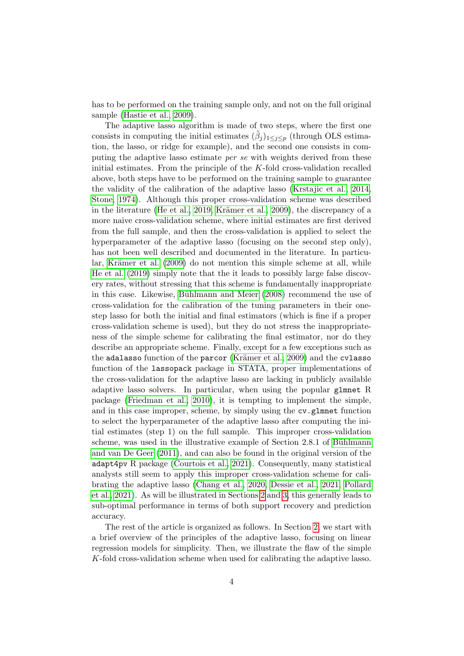has to be performed on the training sample only, and not on the full original sample [\(Hastie et al., 2009\)](#page-18-2).

The adaptive lasso algorithm is made of two steps, where the first one consists in computing the initial estimates  $(\tilde{\beta}_j)_{1 \leq j \leq p}$  (through OLS estimation, the lasso, or ridge for example), and the second one consists in computing the adaptive lasso estimate per se with weights derived from these initial estimates. From the principle of the K-fold cross-validation recalled above, both steps have to be performed on the training sample to guarantee the validity of the calibration of the adaptive lasso [\(Krstajic et al., 2014,](#page-19-4) [Stone, 1974\)](#page-19-5). Although this proper cross-validation scheme was described in the literature [\(He et al., 2019,](#page-19-6) Krämer et al., 2009), the discrepancy of a more naive cross-validation scheme, where initial estimates are first derived from the full sample, and then the cross-validation is applied to select the hyperparameter of the adaptive lasso (focusing on the second step only), has not been well described and documented in the literature. In particular, Krämer et al.  $(2009)$  do not mention this simple scheme at all, while [He et al.](#page-19-6) [\(2019\)](#page-19-6) simply note that the it leads to possibly large false discovery rates, without stressing that this scheme is fundamentally inappropriate in this case. Likewise, Bühlmann and Meier  $(2008)$  recommend the use of cross-validation for the calibration of the tuning parameters in their onestep lasso for both the initial and final estimators (which is fine if a proper cross-validation scheme is used), but they do not stress the inappropriateness of the simple scheme for calibrating the final estimator, nor do they describe an appropriate scheme. Finally, except for a few exceptions such as the adalasso function of the parcor (Krämer et al., 2009) and the cvlasso function of the lassopack package in STATA, proper implementations of the cross-validation for the adaptive lasso are lacking in publicly available adaptive lasso solvers. In particular, when using the popular glmnet R package [\(Friedman et al., 2010\)](#page-18-6), it is tempting to implement the simple, and in this case improper, scheme, by simply using the cv.glmnet function to select the hyperparameter of the adaptive lasso after computing the initial estimates (step 1) on the full sample. This improper cross-validation scheme, was used in the illustrative example of Section 2.8.1 of Bühlmann [and van De Geer](#page-17-0) [\(2011\)](#page-17-0), and can also be found in the original version of the adapt4pv R package [\(Courtois et al., 2021\)](#page-18-10). Consequently, many statistical analysts still seem to apply this improper cross-validation scheme for calibrating the adaptive lasso [\(Chang et al., 2020,](#page-18-11) [Dessie et al., 2021,](#page-18-12) [Pollard](#page-19-8) [et al., 2021\)](#page-19-8). As will be illustrated in Sections [2](#page-4-0) and [3,](#page-8-0) this generally leads to sub-optimal performance in terms of both support recovery and prediction accuracy.

The rest of the article is organized as follows. In Section [2,](#page-4-0) we start with a brief overview of the principles of the adaptive lasso, focusing on linear regression models for simplicity. Then, we illustrate the flaw of the simple K-fold cross-validation scheme when used for calibrating the adaptive lasso.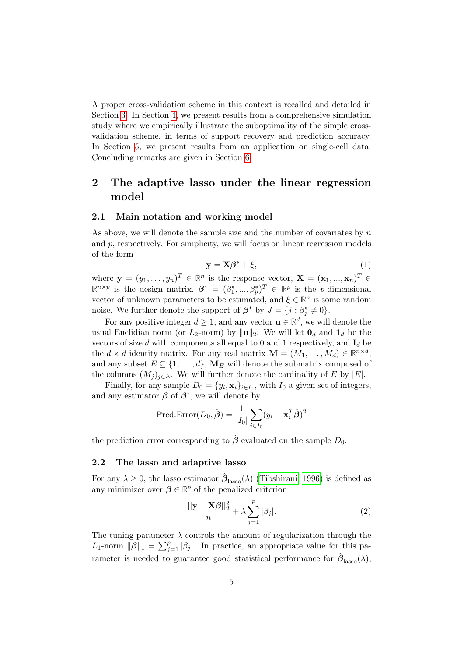A proper cross-validation scheme in this context is recalled and detailed in Section [3.](#page-8-0) In Section [4,](#page-12-0) we present results from a comprehensive simulation study where we empirically illustrate the suboptimality of the simple crossvalidation scheme, in terms of support recovery and prediction accuracy. In Section [5,](#page-15-0) we present results from an application on single-cell data. Concluding remarks are given in Section [6.](#page-16-0)

# <span id="page-4-0"></span>2 The adaptive lasso under the linear regression model

#### 2.1 Main notation and working model

As above, we will denote the sample size and the number of covariates by  $n$ and  $p$ , respectively. For simplicity, we will focus on linear regression models of the form

<span id="page-4-2"></span>
$$
y = X\beta^* + \xi,\tag{1}
$$

where  $\mathbf{y} = (y_1, \ldots, y_n)^T \in \mathbb{R}^n$  is the response vector,  $\mathbf{X} = (\mathbf{x}_1, \ldots, \mathbf{x}_n)^T \in$  $\mathbb{R}^{n \times p}$  is the design matrix,  $\boldsymbol{\beta}^* = (\beta_1^*, ..., \beta_p^*)^T \in \mathbb{R}^p$  is the *p*-dimensional vector of unknown parameters to be estimated, and  $\xi \in \mathbb{R}^n$  is some random noise. We further denote the support of  $\beta^*$  by  $J = \{j : \beta_j^* \neq 0\}.$ 

For any positive integer  $d \geq 1$ , and any vector  $\mathbf{u} \in \mathbb{R}^d$ , we will denote the usual Euclidian norm (or  $L_2$ -norm) by  $\|\mathbf{u}\|_2$ . We will let  $\mathbf{0}_d$  and  $\mathbf{1}_d$  be the vectors of size d with components all equal to 0 and 1 respectively, and  $I_d$  be the  $d \times d$  identity matrix. For any real matrix  $\mathbf{M} = (M_1, \dots, M_d) \in \mathbb{R}^{n \times d}$ , and any subset  $E \subseteq \{1, \ldots, d\}$ ,  $\mathbf{M}_E$  will denote the submatrix composed of the columns  $(M_i)_{i\in E}$ . We will further denote the cardinality of E by  $|E|$ .

Finally, for any sample  $D_0 = \{y_i, \mathbf{x}_i\}_{i \in I_0}$ , with  $I_0$  a given set of integers, and any estimator  $\hat{\boldsymbol{\beta}}$  of  $\boldsymbol{\beta}^*$ , we will denote by

$$
\text{Pred-Error}(D_0, \hat{\boldsymbol{\beta}}) = \frac{1}{|I_0|} \sum_{i \in I_0} (y_i - \mathbf{x}_i^T \hat{\boldsymbol{\beta}})^2
$$

the prediction error corresponding to  $\hat{\boldsymbol{\beta}}$  evaluated on the sample  $D_0$ .

#### 2.2 The lasso and adaptive lasso

For any  $\lambda \geq 0$ , the lasso estimator  $\hat{\beta}_{\text{lasso}}(\lambda)$  [\(Tibshirani, 1996\)](#page-19-1) is defined as any minimizer over  $\beta \in \mathbb{R}^p$  of the penalized criterion

<span id="page-4-1"></span>
$$
\frac{||\mathbf{y} - \mathbf{X}\boldsymbol{\beta}||_2^2}{n} + \lambda \sum_{j=1}^p |\beta_j|.
$$
 (2)

The tuning parameter  $\lambda$  controls the amount of regularization through the  $L_1$ -norm  $\|\beta\|_1 = \sum_{j=1}^p |\beta_j|$ . In practice, an appropriate value for this parameter is needed to guarantee good statistical performance for  $\hat{\beta}_\text{lasso}(\lambda)$ ,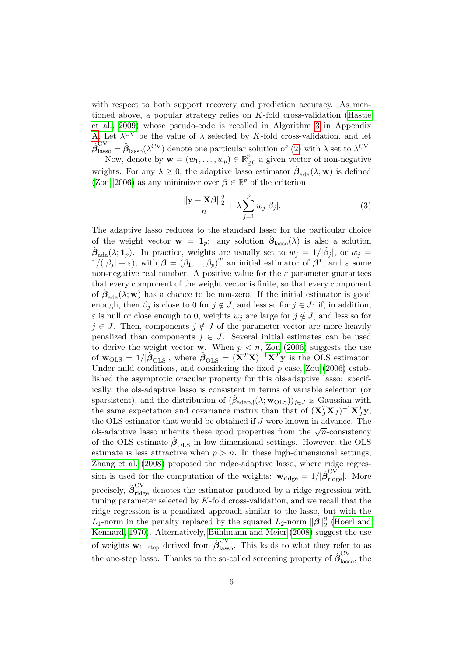with respect to both support recovery and prediction accuracy. As mentioned above, a popular strategy relies on  $K$ -fold cross-validation [\(Hastie](#page-18-2) [et al., 2009\)](#page-18-2) whose pseudo-code is recalled in Algorithm [3](#page-21-0) in Appendix [A.](#page-21-1) Let  $\lambda^{\text{CV}}$  be the value of  $\lambda$  selected by K-fold cross-validation, and let  $\hat{\beta}_{\mathrm{lasso}}^{\mathrm{CV}} = \hat{\beta}_{\mathrm{lasso}}(\lambda^{\mathrm{CV}})$  denote one particular solution of [\(2\)](#page-4-1) with  $\lambda$  set to  $\lambda^{\mathrm{CV}}$ . Now, denote by  $\mathbf{w} = (w_1, \ldots, w_p) \in \mathbb{R}^p$  $\frac{p}{\geq 0}$  a given vector of non-negative weights. For any  $\lambda \geq 0$ , the adaptive lasso estimator  $\hat{\beta}_{ada}(\lambda; \mathbf{w})$  is defined

[\(Zou, 2006\)](#page-20-2) as any minimizer over  $\beta \in \mathbb{R}^p$  of the criterion

<span id="page-5-0"></span>
$$
\frac{||\mathbf{y} - \mathbf{X}\boldsymbol{\beta}||_2^2}{n} + \lambda \sum_{j=1}^p w_j |\beta_j|.
$$
 (3)

The adaptive lasso reduces to the standard lasso for the particular choice of the weight vector  $\mathbf{w} = \mathbf{1}_p$ : any solution  $\hat{\boldsymbol{\beta}}_{\text{lasso}}(\lambda)$  is also a solution  $\hat{\boldsymbol{\beta}}_{\text{ada}}(\lambda; 1_p)$ . In practice, weights are usually set to  $w_j = 1/|\tilde{\beta}_j|$ , or  $w_j =$  $1/(|\tilde{\beta}_j|+\varepsilon)$ , with  $\tilde{\boldsymbol{\beta}} = (\tilde{\beta}_1, ..., \tilde{\beta}_p)^T$  an initial estimator of  $\boldsymbol{\beta}^*$ , and  $\varepsilon$  some non-negative real number. A positive value for the  $\varepsilon$  parameter guarantees that every component of the weight vector is finite, so that every component of  $\hat{\boldsymbol{\beta}}_{\text{ada}}(\lambda; \mathbf{w})$  has a chance to be non-zero. If the initial estimator is good enough, then  $\tilde{\beta}_j$  is close to 0 for  $j \notin J$ , and less so for  $j \in J$ : if, in addition,  $\varepsilon$  is null or close enough to 0, weights  $w_j$  are large for  $j \notin J$ , and less so for  $j \in J$ . Then, components  $j \notin J$  of the parameter vector are more heavily penalized than components  $j \in J$ . Several initial estimates can be used to derive the weight vector **w**. When  $p < n$ , [Zou](#page-20-2) [\(2006\)](#page-20-2) suggests the use of  $w_{\text{OLS}} = 1/|\tilde{\boldsymbol{\beta}}_{\text{OLS}}|$ , where  $\tilde{\boldsymbol{\beta}}_{\text{OLS}} = (\mathbf{X}^T \mathbf{X})^{-1} \mathbf{X}^T \mathbf{y}$  is the OLS estimator. Under mild conditions, and considering the fixed  $p$  case, [Zou](#page-20-2) [\(2006\)](#page-20-2) established the asymptotic oracular property for this ols-adaptive lasso: specifically, the ols-adaptive lasso is consistent in terms of variable selection (or sparsistent), and the distribution of  $(\hat{\beta}_{\text{adap},j}(\lambda; \mathbf{w}_{\text{OLS}}))_{j \in J}$  is Gaussian with the same expectation and covariance matrix than that of  $(\mathbf{X}_{J}^{T}\mathbf{X}_{J})^{-1}\mathbf{X}_{J}^{T}\mathbf{y}$ , the OLS estimator that would be obtained if J were known in advance. The The OLS estimator that would be obtained if *J* were known in advance. The ols-adaptive lasso inherits these good properties from the  $\sqrt{n}$ -consistency of the OLS estimate  $\tilde{\beta}_{OLS}$  in low-dimensional settings. However, the OLS estimate is less attractive when  $p > n$ . In these high-dimensional settings, [Zhang et al.](#page-20-3) [\(2008\)](#page-20-3) proposed the ridge-adaptive lasso, where ridge regression is used for the computation of the weights:  $\mathbf{w}_{\text{ridge}} = 1/|\hat{\boldsymbol{\beta}}_{\text{ridge}}^{\text{CV}}|$ . More precisely,  $\hat{\beta}_{\text{ridge}}^{\text{CV}}$  denotes the estimator produced by a ridge regression with tuning parameter selected by K-fold cross-validation, and we recall that the ridge regression is a penalized approach similar to the lasso, but with the  $L_1$ -norm in the penalty replaced by the squared  $L_2$ -norm  $\|\beta\|_2^2$  [\(Hoerl and](#page-19-9) [Kennard, 1970\)](#page-19-9). Alternatively, Bühlmann and Meier [\(2008\)](#page-17-3) suggest the use of weights  $w_{1-\text{step}}$  derived from  $\hat{\beta}_{\text{lasso}}^{\text{CV}}$ . This leads to what they refer to as the one-step lasso. Thanks to the so-called screening property of  $\hat{\beta}_{\mathrm{lasso}}^{\mathrm{CV}}$ , the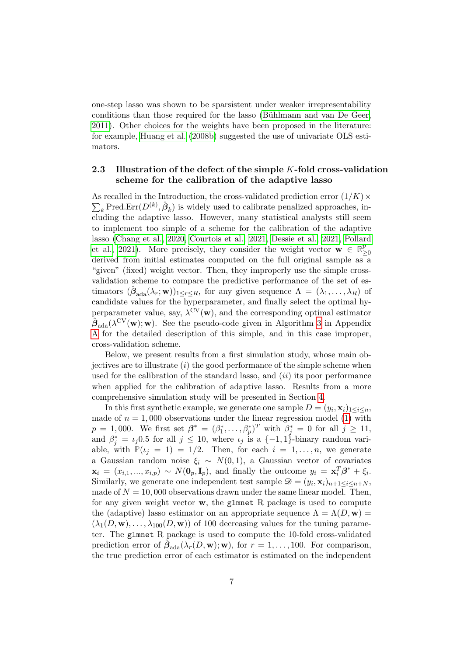one-step lasso was shown to be sparsistent under weaker irrepresentability conditions than those required for the lasso (Bühlmann and van De Geer, [2011\)](#page-17-0). Other choices for the weights have been proposed in the literature: for example, [Huang et al.](#page-19-10) [\(2008b\)](#page-19-10) suggested the use of univariate OLS estimators.

#### <span id="page-6-0"></span>2.3 Illustration of the defect of the simple K-fold cross-validation scheme for the calibration of the adaptive lasso

 $\sum_{k}$ Pred.Err $(D^{(k)}, \hat{\beta}_{k})$  is widely used to calibrate penalized approaches, in-As recalled in the Introduction, the cross-validated prediction error  $(1/K) \times$ cluding the adaptive lasso. However, many statistical analysts still seem to implement too simple of a scheme for the calibration of the adaptive lasso [\(Chang et al., 2020,](#page-18-11) [Courtois et al., 2021,](#page-18-10) [Dessie et al., 2021,](#page-18-12) [Pollard](#page-19-8) [et al., 2021\)](#page-19-8). More precisely, they consider the weight vector  $\mathbf{w} \in \mathbb{R}^p$ ≥0 derived from initial estimates computed on the full original sample as a "given" (fixed) weight vector. Then, they improperly use the simple crossvalidation scheme to compare the predictive performance of the set of estimators  $(\hat{\beta}_{ada}(\lambda_r; \mathbf{w}))_{1 \leq r \leq R}$ , for any given sequence  $\Lambda = (\lambda_1, \ldots, \lambda_R)$  of candidate values for the hyperparameter, and finally select the optimal hyperparameter value, say,  $\lambda^{\rm CV}(\mathbf{w})$ , and the corresponding optimal estimator  $\hat{\mathcal{B}}_{\text{ada}}(\lambda^{\text{CV}}(\mathbf{w});\mathbf{w})$ . See the pseudo-code given in Algorithm [3](#page-21-0) in Appendix [A](#page-21-1) for the detailed description of this simple, and in this case improper, cross-validation scheme.

Below, we present results from a first simulation study, whose main objectives are to illustrate  $(i)$  the good performance of the simple scheme when used for the calibration of the standard lasso, and  $(ii)$  its poor performance when applied for the calibration of adaptive lasso. Results from a more comprehensive simulation study will be presented in Section [4.](#page-12-0)

In this first synthetic example, we generate one sample  $D = (y_i, \mathbf{x}_i)_{1 \leq i \leq n}$ , made of  $n = 1,000$  observations under the linear regression model [\(1\)](#page-4-2) with  $p = 1,000$ . We first set  $\boldsymbol{\beta}^* = (\beta_1^*, \ldots, \beta_p^*)^T$  with  $\beta_j^* = 0$  for all  $j \ge 11$ , and  $\beta_j^* = \iota_j 0.5$  for all  $j \leq 10$ , where  $\iota_j$  is a  $\{-1, 1\}$ -binary random variable, with  $P(i = 1) = 1/2$ . Then, for each  $i = 1, \ldots, n$ , we generate a Gaussian random noise  $\xi_i \sim N(0, 1)$ , a Gaussian vector of covariates  $\mathbf{x}_i = (x_{i,1},...,x_{i,p}) \sim N(\mathbf{0}_p, \mathbf{I}_p)$ , and finally the outcome  $y_i = \mathbf{x}_i^T \boldsymbol{\beta}^* + \xi_i$ . Similarly, we generate one independent test sample  $\mathcal{D} = (y_i, \mathbf{x}_i)_{n+1 \leq i \leq n+N}$ , made of  $N = 10,000$  observations drawn under the same linear model. Then, for any given weight vector  $\bf{w}$ , the glmnet R package is used to compute the (adaptive) lasso estimator on an appropriate sequence  $\Lambda = \Lambda(D, \mathbf{w}) =$  $(\lambda_1(D, \mathbf{w}), \ldots, \lambda_{100}(D, \mathbf{w}))$  of 100 decreasing values for the tuning parameter. The glmnet R package is used to compute the 10-fold cross-validated prediction error of  $\hat{\beta}_{\text{ada}}(\lambda_r(D, \mathbf{w}); \mathbf{w})$ , for  $r = 1, ..., 100$ . For comparison, the true prediction error of each estimator is estimated on the independent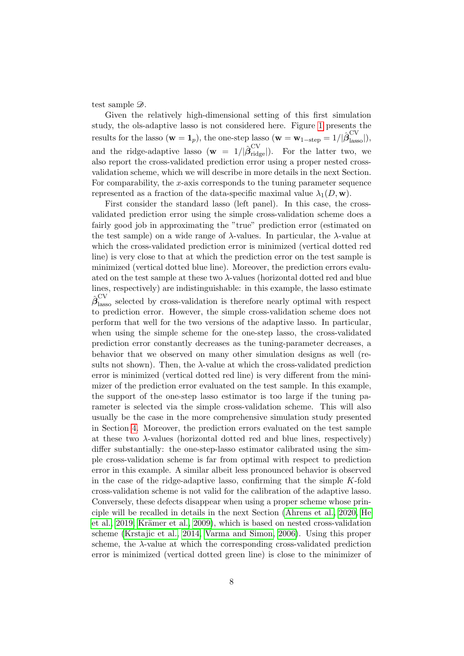test sample  $\mathcal{D}$ .

Given the relatively high-dimensional setting of this first simulation study, the ols-adaptive lasso is not considered here. Figure [1](#page-8-1) presents the results for the lasso  $(\mathbf{w} = \mathbf{1}_p)$ , the one-step lasso  $(\mathbf{w} = \mathbf{w}_{1-\text{step}} = 1/|\hat{\beta}_{\text{lasso}}^{\text{CV}}|)$ , and the ridge-adaptive lasso  $(\mathbf{w} = 1/|\hat{\boldsymbol{\beta}}_{\rm ridge}^{\rm CV}|)$ . For the latter two, we also report the cross-validated prediction error using a proper nested crossvalidation scheme, which we will describe in more details in the next Section. For comparability, the  $x$ -axis corresponds to the tuning parameter sequence represented as a fraction of the data-specific maximal value  $\lambda_1(D, \mathbf{w})$ .

First consider the standard lasso (left panel). In this case, the crossvalidated prediction error using the simple cross-validation scheme does a fairly good job in approximating the "true" prediction error (estimated on the test sample) on a wide range of  $\lambda$ -values. In particular, the  $\lambda$ -value at which the cross-validated prediction error is minimized (vertical dotted red line) is very close to that at which the prediction error on the test sample is minimized (vertical dotted blue line). Moreover, the prediction errors evaluated on the test sample at these two λ-values (horizontal dotted red and blue lines, respectively) are indistinguishable: in this example, the lasso estimate  $\hat{\beta}^{\text{CV}}_{\text{lasso}}$  selected by cross-validation is therefore nearly optimal with respect to prediction error. However, the simple cross-validation scheme does not perform that well for the two versions of the adaptive lasso. In particular, when using the simple scheme for the one-step lasso, the cross-validated prediction error constantly decreases as the tuning-parameter decreases, a behavior that we observed on many other simulation designs as well (results not shown). Then, the  $\lambda$ -value at which the cross-validated prediction error is minimized (vertical dotted red line) is very different from the minimizer of the prediction error evaluated on the test sample. In this example, the support of the one-step lasso estimator is too large if the tuning parameter is selected via the simple cross-validation scheme. This will also usually be the case in the more comprehensive simulation study presented in Section [4.](#page-12-0) Moreover, the prediction errors evaluated on the test sample at these two  $\lambda$ -values (horizontal dotted red and blue lines, respectively) differ substantially: the one-step-lasso estimator calibrated using the simple cross-validation scheme is far from optimal with respect to prediction error in this example. A similar albeit less pronounced behavior is observed in the case of the ridge-adaptive lasso, confirming that the simple  $K$ -fold cross-validation scheme is not valid for the calibration of the adaptive lasso. Conversely, these defects disappear when using a proper scheme whose principle will be recalled in details in the next Section [\(Ahrens et al., 2020,](#page-17-8) [He](#page-19-6) [et al., 2019,](#page-19-6) Krämer et al., 2009), which is based on nested cross-validation scheme [\(Krstajic et al., 2014,](#page-19-4) [Varma and Simon, 2006\)](#page-20-4). Using this proper scheme, the λ-value at which the corresponding cross-validated prediction error is minimized (vertical dotted green line) is close to the minimizer of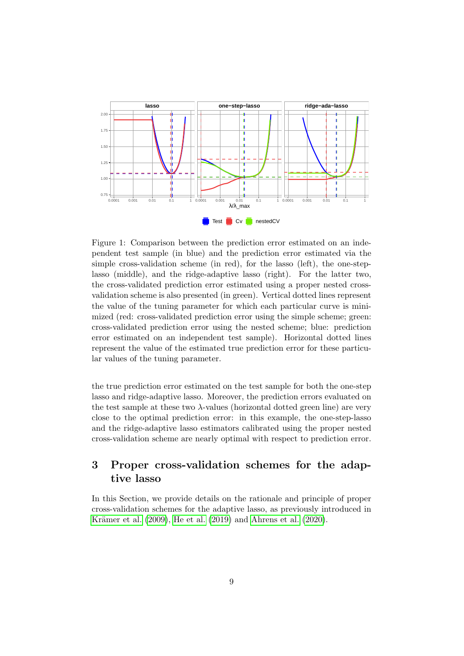<span id="page-8-1"></span>

Figure 1: Comparison between the prediction error estimated on an independent test sample (in blue) and the prediction error estimated via the simple cross-validation scheme (in red), for the lasso (left), the one-steplasso (middle), and the ridge-adaptive lasso (right). For the latter two, the cross-validated prediction error estimated using a proper nested crossvalidation scheme is also presented (in green). Vertical dotted lines represent the value of the tuning parameter for which each particular curve is minimized (red: cross-validated prediction error using the simple scheme; green: cross-validated prediction error using the nested scheme; blue: prediction error estimated on an independent test sample). Horizontal dotted lines represent the value of the estimated true prediction error for these particular values of the tuning parameter.

the true prediction error estimated on the test sample for both the one-step lasso and ridge-adaptive lasso. Moreover, the prediction errors evaluated on the test sample at these two  $\lambda$ -values (horizontal dotted green line) are very close to the optimal prediction error: in this example, the one-step-lasso and the ridge-adaptive lasso estimators calibrated using the proper nested cross-validation scheme are nearly optimal with respect to prediction error.

# <span id="page-8-0"></span>3 Proper cross-validation schemes for the adaptive lasso

In this Section, we provide details on the rationale and principle of proper cross-validation schemes for the adaptive lasso, as previously introduced in Krämer et al.  $(2009)$ , [He et al.](#page-19-6)  $(2019)$  and [Ahrens et al.](#page-17-8)  $(2020)$ .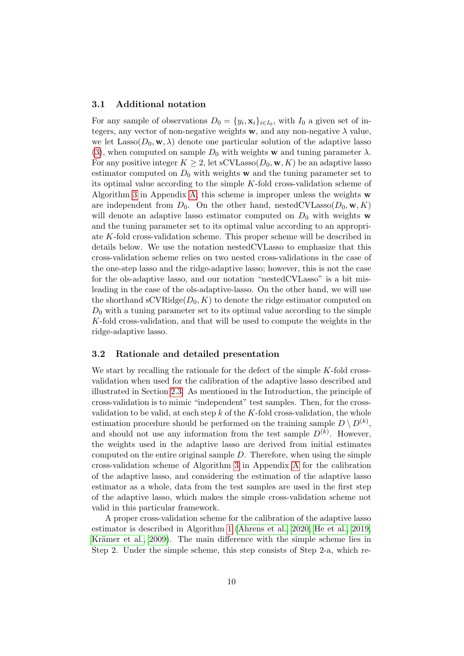#### 3.1 Additional notation

For any sample of observations  $D_0 = \{y_i, \mathbf{x}_i\}_{i \in I_0}$ , with  $I_0$  a given set of integers, any vector of non-negative weights  $w$ , and any non-negative  $\lambda$  value, we let  $\text{Lasso}(D_0, \mathbf{w}, \lambda)$  denote one particular solution of the adaptive lasso [\(3\)](#page-5-0), when computed on sample  $D_0$  with weights w and tuning parameter  $\lambda$ . For any positive integer  $K \geq 2$ , let sCVLasso $(D_0, \mathbf{w}, K)$  be an adaptive lasso estimator computed on  $D_0$  with weights w and the tuning parameter set to its optimal value according to the simple  $K$ -fold cross-validation scheme of Algorithm [3](#page-21-0) in Appendix [A;](#page-21-1) this scheme is improper unless the weights  $\bf{w}$ are independent from  $D_0$ . On the other hand, nested CVLasso  $(D_0, \mathbf{w}, K)$ will denote an adaptive lasso estimator computed on  $D_0$  with weights w and the tuning parameter set to its optimal value according to an appropriate K-fold cross-validation scheme. This proper scheme will be described in details below. We use the notation nestedCVLasso to emphasize that this cross-validation scheme relies on two nested cross-validations in the case of the one-step lasso and the ridge-adaptive lasso; however, this is not the case for the ols-adaptive lasso, and our notation "nestedCVLasso" is a bit misleading in the case of the ols-adaptive-lasso. On the other hand, we will use the shorthand  $\mathrm{sCVRidge}(D_0, K)$  to denote the ridge estimator computed on  $D_0$  with a tuning parameter set to its optimal value according to the simple K-fold cross-validation, and that will be used to compute the weights in the ridge-adaptive lasso.

#### 3.2 Rationale and detailed presentation

We start by recalling the rationale for the defect of the simple K-fold crossvalidation when used for the calibration of the adaptive lasso described and illustrated in Section [2.3.](#page-6-0) As mentioned in the Introduction, the principle of cross-validation is to mimic "independent" test samples. Then, for the crossvalidation to be valid, at each step  $k$  of the K-fold cross-validation, the whole estimation procedure should be performed on the training sample  $D \setminus D^{(k)}$ , and should not use any information from the test sample  $D^{(k)}$ . However, the weights used in the adaptive lasso are derived from initial estimates computed on the entire original sample  $D$ . Therefore, when using the simple cross-validation scheme of Algorithm [3](#page-21-0) in Appendix [A](#page-21-1) for the calibration of the adaptive lasso, and considering the estimation of the adaptive lasso estimator as a whole, data from the test samples are used in the first step of the adaptive lasso, which makes the simple cross-validation scheme not valid in this particular framework.

A proper cross-validation scheme for the calibration of the adaptive lasso estimator is described in Algorithm [1](#page-11-0) [\(Ahrens et al., 2020,](#page-17-8) [He et al., 2019,](#page-19-6) Krämer et al., 2009). The main difference with the simple scheme lies in Step 2. Under the simple scheme, this step consists of Step 2-a, which re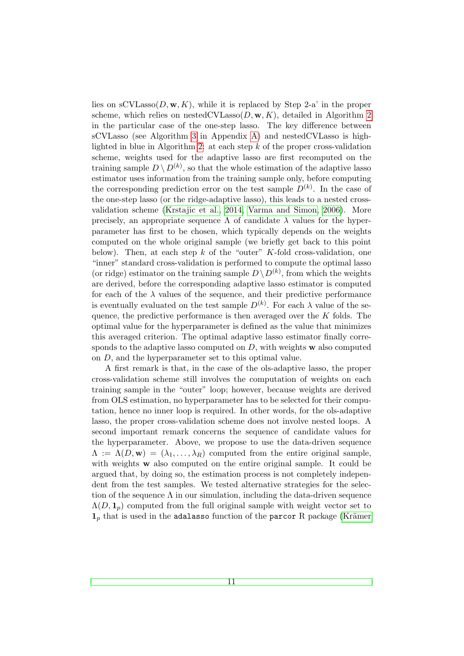lies on  $\mathrm{sCVLasso}(D, \mathbf{w}, K)$ , while it is replaced by Step 2-a' in the proper scheme, which relies on nestedCVLasso $(D, \mathbf{w}, K)$ , detailed in Algorithm [2](#page-11-1) in the particular case of the one-step lasso. The key difference between sCVLasso (see Algorithm [3](#page-21-0) in Appendix [A\)](#page-21-1) and nestedCVLasso is high-lighted in blue in Algorithm [2:](#page-11-1) at each step  $k$  of the proper cross-validation scheme, weights used for the adaptive lasso are first recomputed on the training sample  $D \setminus D^{(k)}$ , so that the whole estimation of the adaptive lasso estimator uses information from the training sample only, before computing the corresponding prediction error on the test sample  $D^{(k)}$ . In the case of the one-step lasso (or the ridge-adaptive lasso), this leads to a nested crossvalidation scheme [\(Krstajic et al., 2014,](#page-19-4) [Varma and Simon, 2006\)](#page-20-4). More precisely, an appropriate sequence  $\Lambda$  of candidate  $\lambda$  values for the hyperparameter has first to be chosen, which typically depends on the weights computed on the whole original sample (we briefly get back to this point below). Then, at each step  $k$  of the "outer" K-fold cross-validation, one "inner" standard cross-validation is performed to compute the optimal lasso (or ridge) estimator on the training sample  $D \setminus D^{(k)}$ , from which the weights are derived, before the corresponding adaptive lasso estimator is computed for each of the  $\lambda$  values of the sequence, and their predictive performance is eventually evaluated on the test sample  $D^{(k)}$ . For each  $\lambda$  value of the sequence, the predictive performance is then averaged over the  $K$  folds. The optimal value for the hyperparameter is defined as the value that minimizes this averaged criterion. The optimal adaptive lasso estimator finally corresponds to the adaptive lasso computed on  $D$ , with weights  $\bf{w}$  also computed on D, and the hyperparameter set to this optimal value.

A first remark is that, in the case of the ols-adaptive lasso, the proper cross-validation scheme still involves the computation of weights on each training sample in the "outer" loop; however, because weights are derived from OLS estimation, no hyperparameter has to be selected for their computation, hence no inner loop is required. In other words, for the ols-adaptive lasso, the proper cross-validation scheme does not involve nested loops. A second important remark concerns the sequence of candidate values for the hyperparameter. Above, we propose to use the data-driven sequence  $\Lambda := \Lambda(D, \mathbf{w}) = (\lambda_1, \ldots, \lambda_R)$  computed from the entire original sample, with weights w also computed on the entire original sample. It could be argued that, by doing so, the estimation process is not completely independent from the test samples. We tested alternative strategies for the selection of the sequence  $\Lambda$  in our simulation, including the data-driven sequence  $\Lambda(D, 1_p)$  computed from the full original sample with weight vector set to  $1<sub>p</sub>$  that is used in the adalasso function of the parcor R package (Krämer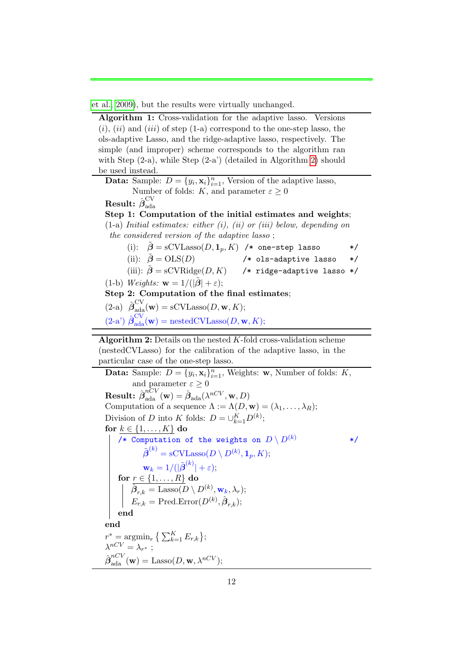[et al., 2009\)](#page-19-7), but the results were virtually unchanged.

<span id="page-11-0"></span>Algorithm 1: Cross-validation for the adaptive lasso. Versions  $(i)$ ,  $(ii)$  and  $(iii)$  of step  $(1-a)$  correspond to the one-step lasso, the ols-adaptive Lasso, and the ridge-adaptive lasso, respectively. The simple (and improper) scheme corresponds to the algorithm ran with Step (2-a), while Step (2-a') (detailed in Algorithm [2\)](#page-11-1) should be used instead. **Data:** Sample:  $D = \{y_i, \mathbf{x}_i\}_{i=1}^n$ , Version of the adaptive lasso, Number of folds: K, and parameter  $\varepsilon \geq 0$  ${\rm Result:}~\hat{\boldsymbol{\beta}}_{\rm ada}^{\rm CV}$ ada Step 1: Computation of the initial estimates and weights;  $(1-a)$  Initial estimates: either  $(i)$ ,  $(ii)$  or  $(iii)$  below, depending on the considered version of the adaptive lasso ; (i):  $\tilde{\boldsymbol{\beta}} = \text{sCVLasso}(D, \mathbf{1}_p, K)$  /\* one-step lasso \*/ (ii):  $\tilde{\boldsymbol{\beta}} = \text{OLS}(D)$  /\* ols-adaptive lasso \*/ (iii):  $\tilde{\boldsymbol{\beta}} = \text{sCVRidge}(D, K)$  /\* ridge-adaptive lasso \*/ (1-b) Weights:  $\mathbf{w} = 1/(|\tilde{\boldsymbol{\beta}}| + \varepsilon);$ Step 2: Computation of the final estimates; (2-a)  $\hat{\boldsymbol{\beta}}_{\text{ada}}^{\text{CV}}(\mathbf{w}) = \text{sCVLasso}(D, \mathbf{w}, K);$  $(2-a') \hat{\boldsymbol{\beta}}_{\text{ada}}^{\text{CV}}(\mathbf{w}) = \text{nestedCVLasso}(D, \mathbf{w}, K);$ **Algorithm 2:** Details on the nested  $K$ -fold cross-validation scheme (nestedCVLasso) for the calibration of the adaptive lasso, in the particular case of the one-step lasso. **Data:** Sample:  $D = \{y_i, \mathbf{x}_i\}_{i=1}^n$ , Weights: **w**, Number of folds: *K*, and parameter  $\varepsilon \geq 0$  $\textbf{Result:} \,\, \hat{\boldsymbol{\beta}}_{\text{ada}}^{nCV}(\textbf{w}) = \hat{\boldsymbol{\beta}}_{\text{ada}}(\lambda^{nCV},\textbf{w},D)$ Computation of a sequence  $\Lambda := \Lambda(D, \mathbf{w}) = (\lambda_1, \dots, \lambda_R);$ Division of D into K folds:  $D = \bigcup_{k=1}^{K} D^{(k)}$ ; for  $k \in \{1, \ldots, K\}$  do /\* Computation of the weights on  $D \setminus D^{(k)}$  \*/  $\tilde{\boldsymbol{\beta}}^{(k)} = \text{sCVLasso}(D \setminus D^{(k)}, \mathbf{1}_p, K);$  $\mathbf{w}_k = 1/(|\tilde{\boldsymbol{\beta}}^{(k)}| + \varepsilon);$ for  $r \in \{1, \ldots, R\}$  do  $\overline{\hat{\boldsymbol{\beta}}_{r,k}} = \text{Lasso}(\overline{D} \setminus D^{(k)}, \textbf{w}_k, \lambda_r);$  $E_{r,k} = \text{Pred}.\text{Error}(D^{(k)}, \hat{\boldsymbol{\beta}}_{r,k});$ end

<span id="page-11-1"></span>end

$$
r^* = \underset{\lambda^{nCV}}{\operatorname{argmin}} \left\{ \sum_{k=1}^K E_{r,k} \right\};
$$
  
\n
$$
\lambda^{nCV} = \lambda_{r^*} ;
$$
  
\n
$$
\hat{\beta}_{\text{ada}}^{nCV}(\mathbf{w}) = \text{Lasso}(D, \mathbf{w}, \lambda^{nCV});
$$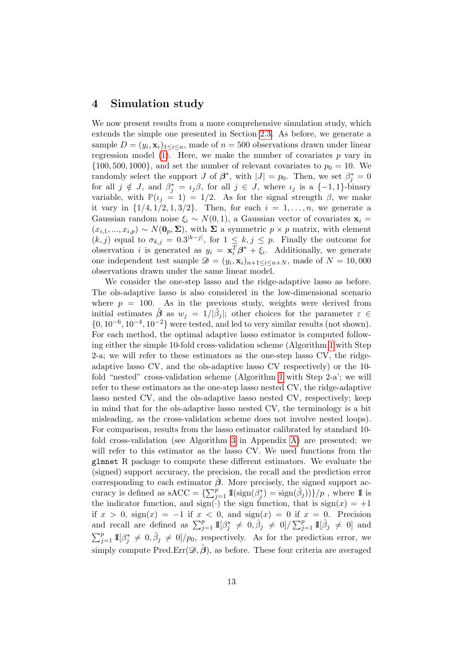### <span id="page-12-0"></span>4 Simulation study

We now present results from a more comprehensive simulation study, which extends the simple one presented in Section [2.3.](#page-6-0) As before, we generate a sample  $D = (y_i, \mathbf{x}_i)_{1 \leq i \leq n}$ , made of  $n = 500$  observations drawn under linear regression model [\(1\)](#page-4-2). Here, we make the number of covariates  $p$  vary in  $\{100, 500, 1000\}$ , and set the number of relevant covariates to  $p_0 = 10$ . We randomly select the support J of  $\beta^*$ , with  $|J| = p_0$ . Then, we set  $\beta_j^* = 0$ for all  $j \notin J$ , and  $\beta_j^* = \iota_j \beta$ , for all  $j \in J$ , where  $\iota_j$  is a  $\{-1,1\}$ -binary variable, with  $P(i = 1) = 1/2$ . As for the signal strength  $\beta$ , we make it vary in  $\{1/4, 1/2, 1, 3/2\}$ . Then, for each  $i = 1, ..., n$ , we generate a Gaussian random noise  $\xi_i \sim N(0, 1)$ , a Gaussian vector of covariates  $\mathbf{x}_i =$  $(x_{i,1},...,x_{i,p}) \sim N(\mathbf{0}_p,\Sigma)$ , with  $\Sigma$  a symmetric  $p \times p$  matrix, with element  $(k, j)$  equal to  $\sigma_{k,j} = 0.3^{|k-j|}$ , for  $1 \leq k, j \leq p$ . Finally the outcome for observation *i* is generated as  $y_i = \mathbf{x}_i^T \boldsymbol{\beta}^* + \xi_i$ . Additionally, we generate one independent test sample  $\mathcal{D} = (y_i, \mathbf{x}_i)_{n+1 \leq i \leq n+N}$ , made of  $N = 10,000$ observations drawn under the same linear model.

We consider the one-step lasso and the ridge-adaptive lasso as before. The ols-adaptive lasso is also considered in the low-dimensional scenario where  $p = 100$ . As in the previous study, weights were derived from initial estimates  $\tilde{\boldsymbol{\beta}}$  as  $w_j = 1/|\tilde{\beta}_j|$ ; other choices for the parameter  $\varepsilon \in \mathcal{I}$  $\{0, 10^{-6}, 10^{-4}, 10^{-2}\}$  were tested, and led to very similar results (not shown). For each method, the optimal adaptive lasso estimator is computed following either the simple 10-fold cross-validation scheme (Algorithm [1](#page-11-0) with Step 2-a; we will refer to these estimators as the one-step lasso CV, the ridgeadaptive lasso CV, and the ols-adaptive lasso CV respectively) or the 10 fold "nested" cross-validation scheme (Algorithm [1](#page-11-0) with Step 2-a'; we will refer to these estimators as the one-step lasso nested CV, the ridge-adaptive lasso nested CV, and the ols-adaptive lasso nested CV, respectively; keep in mind that for the ols-adaptive lasso nested CV, the terminology is a bit misleading, as the cross-validation scheme does not involve nested loops). For comparison, results from the lasso estimator calibrated by standard 10 fold cross-validation (see Algorithm [3](#page-21-0) in Appendix [A\)](#page-21-1) are presented; we will refer to this estimator as the lasso CV. We used functions from the glmnet R package to compute these different estimators. We evaluate the (signed) support accuracy, the precision, the recall and the prediction error corresponding to each estimator  $\hat{\beta}$ . More precisely, the signed support accuracy is defined as sACC =  $\{\sum_{j=1}^p \mathbb{I}(\text{sign}(\beta_j^*) = \text{sign}(\hat{\beta}_j))\}/p$ , where  $\mathbb I$  is the indicator function, and  $sign(\cdot)$  the sign function, that is  $sign(x) = +1$ if  $x > 0$ ,  $sign(x) = -1$  if  $x < 0$ , and  $sign(x) = 0$  if  $x = 0$ . Precision and recall are defined as  $\sum_{j=1}^p 1\!\!1[\beta_j^* \neq 0, \hat{\beta}_j \neq 0] / \sum_{j=1}^p 1\!\!1[\hat{\beta}_j \neq 0]$  and  $\sum_{j=1}^p 1\!\!1[\beta_j^* \neq 0, \hat{\beta}_j \neq 0]/p_0$ , respectively. As for the prediction error, we simply compute Pred.Err $(\mathscr{D}, \hat{\boldsymbol{\beta}})$ , as before. These four criteria are averaged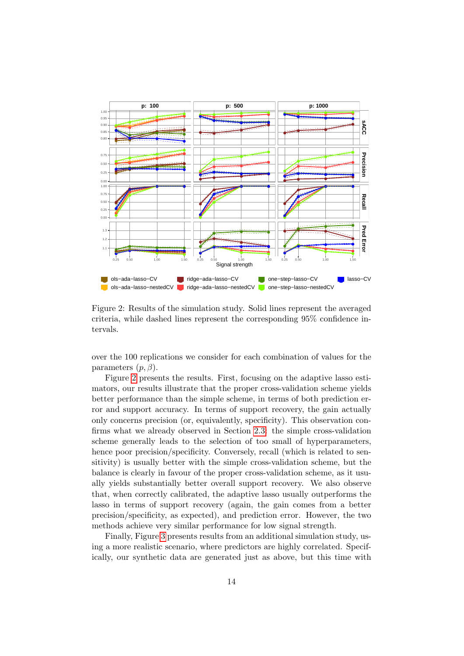<span id="page-13-0"></span>

Figure 2: Results of the simulation study. Solid lines represent the averaged criteria, while dashed lines represent the corresponding 95% confidence intervals.

over the 100 replications we consider for each combination of values for the parameters  $(p, \beta)$ .

Figure [2](#page-13-0) presents the results. First, focusing on the adaptive lasso estimators, our results illustrate that the proper cross-validation scheme yields better performance than the simple scheme, in terms of both prediction error and support accuracy. In terms of support recovery, the gain actually only concerns precision (or, equivalently, specificity). This observation confirms what we already observed in Section [2.3:](#page-6-0) the simple cross-validation scheme generally leads to the selection of too small of hyperparameters, hence poor precision/specificity. Conversely, recall (which is related to sensitivity) is usually better with the simple cross-validation scheme, but the balance is clearly in favour of the proper cross-validation scheme, as it usually yields substantially better overall support recovery. We also observe that, when correctly calibrated, the adaptive lasso usually outperforms the lasso in terms of support recovery (again, the gain comes from a better precision/specificity, as expected), and prediction error. However, the two methods achieve very similar performance for low signal strength.

Finally, Figure [3](#page-14-0) presents results from an additional simulation study, using a more realistic scenario, where predictors are highly correlated. Specifically, our synthetic data are generated just as above, but this time with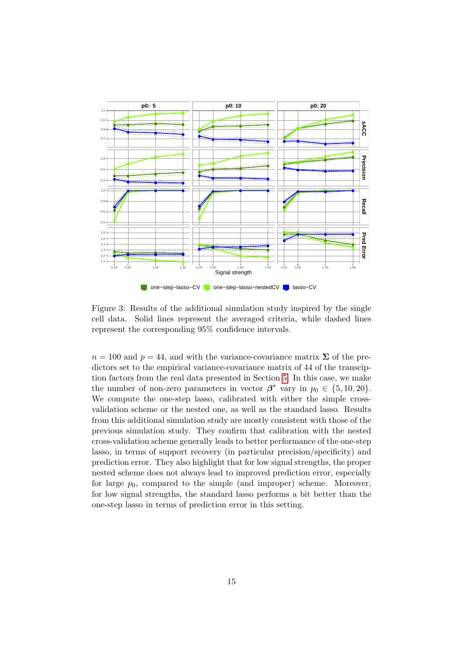<span id="page-14-0"></span>

Figure 3: Results of the additional simulation study inspired by the single cell data. Solid lines represent the averaged criteria, while dashed lines represent the corresponding 95% confidence intervals.

 $n = 100$  and  $p = 44$ , and with the variance-covariance matrix  $\Sigma$  of the predictors set to the empirical variance-covariance matrix of 44 of the transciption factors from the real data presented in Section [5.](#page-15-0) In this case, we make the number of non-zero parameters in vector  $\beta^*$  vary in  $p_0 \in \{5, 10, 20\}.$ We compute the one-step lasso, calibrated with either the simple crossvalidation scheme or the nested one, as well as the standard lasso. Results from this additional simulation study are mostly consistent with those of the previous simulation study. They confirm that calibration with the nested cross-validation scheme generally leads to better performance of the one-step lasso, in terms of support recovery (in particular precision/specificity) and prediction error. They also highlight that for low signal strengths, the proper nested scheme does not always lead to improved prediction error, especially for large  $p_0$ , compared to the simple (and improper) scheme. Moreover, for low signal strengths, the standard lasso performs a bit better than the one-step lasso in terms of prediction error in this setting.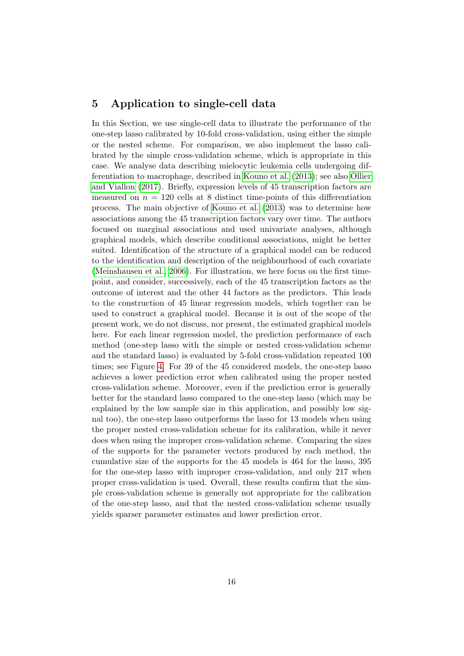### <span id="page-15-0"></span>5 Application to single-cell data

In this Section, we use single-cell data to illustrate the performance of the one-step lasso calibrated by 10-fold cross-validation, using either the simple or the nested scheme. For comparison, we also implement the lasso calibrated by the simple cross-validation scheme, which is appropriate in this case. We analyse data describing mielocytic leukemia cells undergoing differentiation to macrophage, described in [Kouno et al.](#page-19-11) [\(2013\)](#page-19-11); see also [Ollier](#page-19-3) [and Viallon](#page-19-3) [\(2017\)](#page-19-3). Briefly, expression levels of 45 transcription factors are measured on  $n = 120$  cells at 8 distinct time-points of this differentiation process. The main objective of [Kouno et al.](#page-19-11) [\(2013\)](#page-19-11) was to determine how associations among the 45 transcription factors vary over time. The authors focused on marginal associations and used univariate analyses, although graphical models, which describe conditional associations, might be better suited. Identification of the structure of a graphical model can be reduced to the identification and description of the neighbourhood of each covariate [\(Meinshausen et al., 2006\)](#page-19-12). For illustration, we here focus on the first timepoint, and consider, successively, each of the 45 transcription factors as the outcome of interest and the other 44 factors as the predictors. This leads to the construction of 45 linear regression models, which together can be used to construct a graphical model. Because it is out of the scope of the present work, we do not discuss, nor present, the estimated graphical models here. For each linear regression model, the prediction performance of each method (one-step lasso with the simple or nested cross-validation scheme and the standard lasso) is evaluated by 5-fold cross-validation repeated 100 times; see Figure [4.](#page-22-0) For 39 of the 45 considered models, the one-step lasso achieves a lower prediction error when calibrated using the proper nested cross-validation scheme. Moreover, even if the prediction error is generally better for the standard lasso compared to the one-step lasso (which may be explained by the low sample size in this application, and possibly low signal too), the one-step lasso outperforms the lasso for 13 models when using the proper nested cross-validation scheme for its calibration, while it never does when using the improper cross-validation scheme. Comparing the sizes of the supports for the parameter vectors produced by each method, the cumulative size of the supports for the 45 models is 464 for the lasso, 395 for the one-step lasso with improper cross-validation, and only 217 when proper cross-validation is used. Overall, these results confirm that the simple cross-validation scheme is generally not appropriate for the calibration of the one-step lasso, and that the nested cross-validation scheme usually yields sparser parameter estimates and lower prediction error.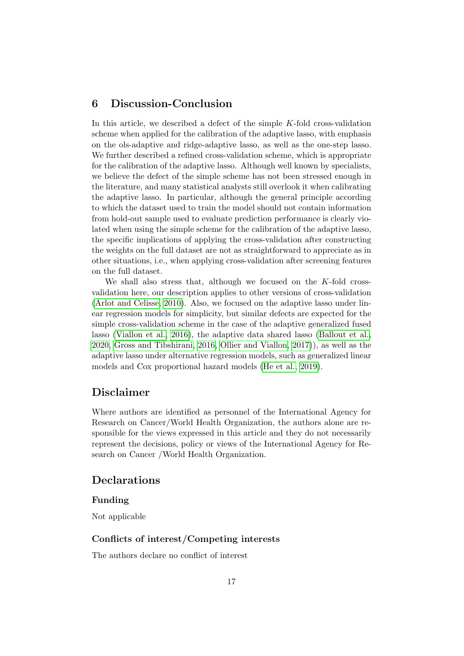### <span id="page-16-0"></span>6 Discussion-Conclusion

In this article, we described a defect of the simple  $K$ -fold cross-validation scheme when applied for the calibration of the adaptive lasso, with emphasis on the ols-adaptive and ridge-adaptive lasso, as well as the one-step lasso. We further described a refined cross-validation scheme, which is appropriate for the calibration of the adaptive lasso. Although well known by specialists, we believe the defect of the simple scheme has not been stressed enough in the literature, and many statistical analysts still overlook it when calibrating the adaptive lasso. In particular, although the general principle according to which the dataset used to train the model should not contain information from hold-out sample used to evaluate prediction performance is clearly violated when using the simple scheme for the calibration of the adaptive lasso, the specific implications of applying the cross-validation after constructing the weights on the full dataset are not as straightforward to appreciate as in other situations, i.e., when applying cross-validation after screening features on the full dataset.

We shall also stress that, although we focused on the K-fold crossvalidation here, our description applies to other versions of cross-validation [\(Arlot and Celisse, 2010\)](#page-17-6). Also, we focused on the adaptive lasso under linear regression models for simplicity, but similar defects are expected for the simple cross-validation scheme in the case of the adaptive generalized fused lasso [\(Viallon et al., 2016\)](#page-20-1), the adaptive data shared lasso [\(Ballout et al.,](#page-17-1) [2020,](#page-17-1) [Gross and Tibshirani, 2016,](#page-18-5) [Ollier and Viallon, 2017\)](#page-19-3)), as well as the adaptive lasso under alternative regression models, such as generalized linear models and Cox proportional hazard models [\(He et al., 2019\)](#page-19-6).

### Disclaimer

Where authors are identified as personnel of the International Agency for Research on Cancer/World Health Organization, the authors alone are responsible for the views expressed in this article and they do not necessarily represent the decisions, policy or views of the International Agency for Research on Cancer /World Health Organization.

### Declarations

#### Funding

Not applicable

#### Conflicts of interest/Competing interests

The authors declare no conflict of interest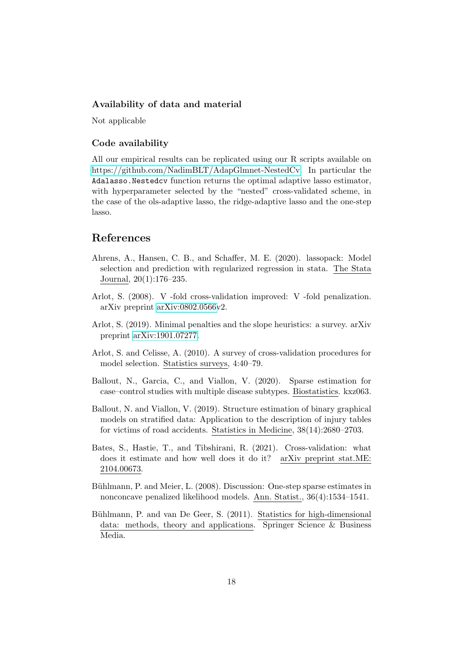#### Availability of data and material

Not applicable

#### Code availability

All our empirical results can be replicated using our R scripts available on [https://github.com/NadimBLT/AdapGlmnet-NestedCv.](https://github.com/NadimBLT/AdapGlmnet-NestedCv) In particular the Adalasso.Nestedcv function returns the optimal adaptive lasso estimator, with hyperparameter selected by the "nested" cross-validated scheme, in the case of the ols-adaptive lasso, the ridge-adaptive lasso and the one-step lasso.

### References

- <span id="page-17-8"></span>Ahrens, A., Hansen, C. B., and Schaffer, M. E. (2020). lassopack: Model selection and prediction with regularized regression in stata. The Stata Journal, 20(1):176–235.
- <span id="page-17-5"></span>Arlot, S. (2008). V -fold cross-validation improved: V -fold penalization. arXiv preprint [arXiv:0802.0566v](http://arxiv.org/abs/0802.0566)2.
- <span id="page-17-4"></span>Arlot, S. (2019). Minimal penalties and the slope heuristics: a survey. arXiv preprint [arXiv:1901.07277.](http://arxiv.org/abs/1901.07277)
- <span id="page-17-6"></span>Arlot, S. and Celisse, A. (2010). A survey of cross-validation procedures for model selection. Statistics surveys, 4:40–79.
- <span id="page-17-1"></span>Ballout, N., Garcia, C., and Viallon, V. (2020). Sparse estimation for case–control studies with multiple disease subtypes. Biostatistics. kxz063.
- <span id="page-17-2"></span>Ballout, N. and Viallon, V. (2019). Structure estimation of binary graphical models on stratified data: Application to the description of injury tables for victims of road accidents. Statistics in Medicine, 38(14):2680–2703.
- <span id="page-17-7"></span>Bates, S., Hastie, T., and Tibshirani, R. (2021). Cross-validation: what does it estimate and how well does it do it? arXiv preprint stat.ME: 2104.00673.
- <span id="page-17-3"></span>Bühlmann, P. and Meier, L. (2008). Discussion: One-step sparse estimates in nonconcave penalized likelihood models. Ann. Statist., 36(4):1534–1541.
- <span id="page-17-0"></span>Bühlmann, P. and van De Geer, S. (2011). Statistics for high-dimensional data: methods, theory and applications. Springer Science & Business Media.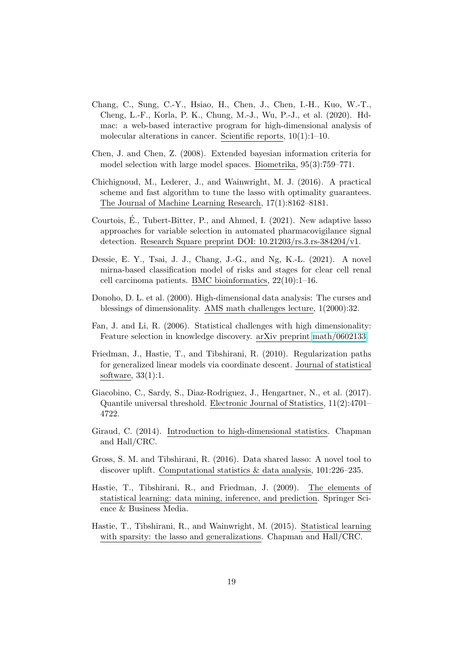- <span id="page-18-11"></span>Chang, C., Sung, C.-Y., Hsiao, H., Chen, J., Chen, I.-H., Kuo, W.-T., Cheng, L.-F., Korla, P. K., Chung, M.-J., Wu, P.-J., et al. (2020). Hdmac: a web-based interactive program for high-dimensional analysis of molecular alterations in cancer. Scientific reports, 10(1):1–10.
- <span id="page-18-7"></span>Chen, J. and Chen, Z. (2008). Extended bayesian information criteria for model selection with large model spaces. Biometrika, 95(3):759–771.
- <span id="page-18-8"></span>Chichignoud, M., Lederer, J., and Wainwright, M. J. (2016). A practical scheme and fast algorithm to tune the lasso with optimality guarantees. The Journal of Machine Learning Research, 17(1):8162–8181.
- <span id="page-18-10"></span>Courtois, E., Tubert-Bitter, P., and Ahmed, I. (2021). New adaptive lasso ´ approaches for variable selection in automated pharmacovigilance signal detection. Research Square preprint DOI: 10.21203/rs.3.rs-384204/v1.
- <span id="page-18-12"></span>Dessie, E. Y., Tsai, J. J., Chang, J.-G., and Ng, K.-L. (2021). A novel mirna-based classification model of risks and stages for clear cell renal cell carcinoma patients. BMC bioinformatics, 22(10):1–16.
- <span id="page-18-3"></span>Donoho, D. L. et al. (2000). High-dimensional data analysis: The curses and blessings of dimensionality. AMS math challenges lecture, 1(2000):32.
- <span id="page-18-1"></span>Fan, J. and Li, R. (2006). Statistical challenges with high dimensionality: Feature selection in knowledge discovery. arXiv preprint [math/0602133.](http://arxiv.org/abs/math/0602133)
- <span id="page-18-6"></span>Friedman, J., Hastie, T., and Tibshirani, R. (2010). Regularization paths for generalized linear models via coordinate descent. Journal of statistical software, 33(1):1.
- <span id="page-18-9"></span>Giacobino, C., Sardy, S., Diaz-Rodriguez, J., Hengartner, N., et al. (2017). Quantile universal threshold. Electronic Journal of Statistics, 11(2):4701– 4722.
- <span id="page-18-0"></span>Giraud, C. (2014). Introduction to high-dimensional statistics. Chapman and Hall/CRC.
- <span id="page-18-5"></span>Gross, S. M. and Tibshirani, R. (2016). Data shared lasso: A novel tool to discover uplift. Computational statistics & data analysis, 101:226–235.
- <span id="page-18-2"></span>Hastie, T., Tibshirani, R., and Friedman, J. (2009). The elements of statistical learning: data mining, inference, and prediction. Springer Science & Business Media.
- <span id="page-18-4"></span>Hastie, T., Tibshirani, R., and Wainwright, M. (2015). Statistical learning with sparsity: the lasso and generalizations. Chapman and Hall/CRC.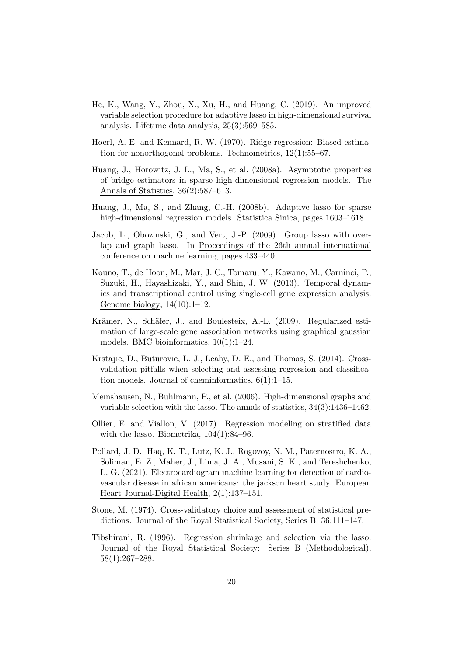- <span id="page-19-6"></span>He, K., Wang, Y., Zhou, X., Xu, H., and Huang, C. (2019). An improved variable selection procedure for adaptive lasso in high-dimensional survival analysis. Lifetime data analysis, 25(3):569–585.
- <span id="page-19-9"></span>Hoerl, A. E. and Kennard, R. W. (1970). Ridge regression: Biased estimation for nonorthogonal problems. Technometrics, 12(1):55–67.
- <span id="page-19-0"></span>Huang, J., Horowitz, J. L., Ma, S., et al. (2008a). Asymptotic properties of bridge estimators in sparse high-dimensional regression models. The Annals of Statistics, 36(2):587–613.
- <span id="page-19-10"></span>Huang, J., Ma, S., and Zhang, C.-H. (2008b). Adaptive lasso for sparse high-dimensional regression models. Statistica Sinica, pages 1603–1618.
- <span id="page-19-2"></span>Jacob, L., Obozinski, G., and Vert, J.-P. (2009). Group lasso with overlap and graph lasso. In Proceedings of the 26th annual international conference on machine learning, pages 433–440.
- <span id="page-19-11"></span>Kouno, T., de Hoon, M., Mar, J. C., Tomaru, Y., Kawano, M., Carninci, P., Suzuki, H., Hayashizaki, Y., and Shin, J. W. (2013). Temporal dynamics and transcriptional control using single-cell gene expression analysis. Genome biology, 14(10):1–12.
- <span id="page-19-7"></span>Krämer, N., Schäfer, J., and Boulesteix, A.-L. (2009). Regularized estimation of large-scale gene association networks using graphical gaussian models. BMC bioinformatics, 10(1):1–24.
- <span id="page-19-4"></span>Krstajic, D., Buturovic, L. J., Leahy, D. E., and Thomas, S. (2014). Crossvalidation pitfalls when selecting and assessing regression and classification models. Journal of cheminformatics,  $6(1)$ :1–15.
- <span id="page-19-12"></span>Meinshausen, N., Bühlmann, P., et al. (2006). High-dimensional graphs and variable selection with the lasso. The annals of statistics, 34(3):1436–1462.
- <span id="page-19-3"></span>Ollier, E. and Viallon, V. (2017). Regression modeling on stratified data with the lasso. Biometrika, 104(1):84–96.
- <span id="page-19-8"></span>Pollard, J. D., Haq, K. T., Lutz, K. J., Rogovoy, N. M., Paternostro, K. A., Soliman, E. Z., Maher, J., Lima, J. A., Musani, S. K., and Tereshchenko, L. G. (2021). Electrocardiogram machine learning for detection of cardiovascular disease in african americans: the jackson heart study. European Heart Journal-Digital Health, 2(1):137–151.
- <span id="page-19-5"></span>Stone, M. (1974). Cross-validatory choice and assessment of statistical predictions. Journal of the Royal Statistical Society, Series B, 36:111–147.
- <span id="page-19-1"></span>Tibshirani, R. (1996). Regression shrinkage and selection via the lasso. Journal of the Royal Statistical Society: Series B (Methodological), 58(1):267–288.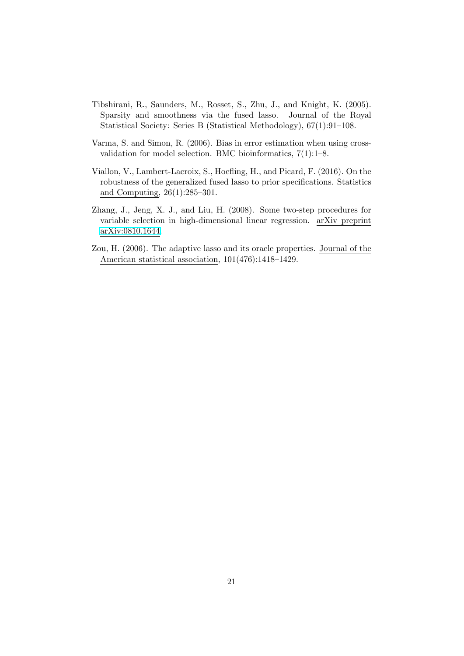- <span id="page-20-0"></span>Tibshirani, R., Saunders, M., Rosset, S., Zhu, J., and Knight, K. (2005). Sparsity and smoothness via the fused lasso. Journal of the Royal Statistical Society: Series B (Statistical Methodology), 67(1):91–108.
- <span id="page-20-4"></span>Varma, S. and Simon, R. (2006). Bias in error estimation when using crossvalidation for model selection. BMC bioinformatics, 7(1):1–8.
- <span id="page-20-1"></span>Viallon, V., Lambert-Lacroix, S., Hoefling, H., and Picard, F. (2016). On the robustness of the generalized fused lasso to prior specifications. Statistics and Computing, 26(1):285–301.
- <span id="page-20-3"></span>Zhang, J., Jeng, X. J., and Liu, H. (2008). Some two-step procedures for variable selection in high-dimensional linear regression. arXiv preprint [arXiv:0810.1644.](http://arxiv.org/abs/0810.1644)
- <span id="page-20-2"></span>Zou, H. (2006). The adaptive lasso and its oracle properties. Journal of the American statistical association, 101(476):1418–1429.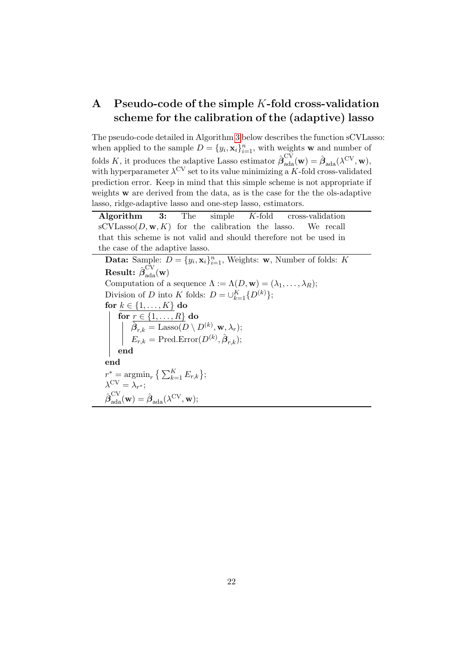# <span id="page-21-1"></span>A Pseudo-code of the simple K-fold cross-validation scheme for the calibration of the (adaptive) lasso

The pseudo-code detailed in Algorithm [3](#page-21-0) below describes the function sCVLasso: when applied to the sample  $D = \{y_i, \mathbf{x}_i\}_{i=1}^n$ , with weights **w** and number of folds K, it produces the adaptive Lasso estimator  $\hat{\boldsymbol{\beta}}_{ada}^{CV}(\mathbf{w}) = \hat{\boldsymbol{\beta}}_{ada}(\lambda^{CV}, \mathbf{w})$ , with hyperparameter  $\lambda^{\text{CV}}$  set to its value minimizing a K-fold cross-validated prediction error. Keep in mind that this simple scheme is not appropriate if weights w are derived from the data, as is the case for the the ols-adaptive lasso, ridge-adaptive lasso and one-step lasso, estimators.

<span id="page-21-0"></span>Algorithm 3: The simple K-fold cross-validation  $\mathrm{sCVLasso}(D, \mathbf{w}, K)$  for the calibration the lasso. We recall that this scheme is not valid and should therefore not be used in the case of the adaptive lasso.

**Data:** Sample:  $D = \{y_i, \mathbf{x}_i\}_{i=1}^n$ , Weights: **w**, Number of folds: K  ${\rm \bf Result:} \ \hat{\boldsymbol{\beta}}_{\rm ada}^{\rm CV}({\rm \bf w})$ Computation of a sequence  $\Lambda := \Lambda(D, \mathbf{w}) = (\lambda_1, \dots, \lambda_R);$ Division of D into K folds:  $D = \bigcup_{k=1}^{K} \{D^{(k)}\};$ for  $k \in \{1, \ldots, K\}$  do for  $r \in \{1, \ldots, R\}$  do  $\hat{\boldsymbol{\beta}}_{r,k} = \text{Lasso}(D \setminus D^{(k)}, \mathbf{w}, \lambda_r);$  $E_{r,k} = \text{Pred}.\text{Error}(D^{(k)}, \hat{\boldsymbol{\beta}}_{r,k});$ end end  $r^* = \operatorname{argmin}_r \left\{ \sum_{k=1}^K E_{r,k} \right\};$  $\lambda^{\text{CV}} = \lambda_{r^*};$  $\hat{\boldsymbol{\beta}}_{\text{ada}}^{\text{CV}}(\mathbf{w}) = \hat{\boldsymbol{\beta}}_{\text{ada}}(\lambda^{\text{CV}}, \mathbf{w});$